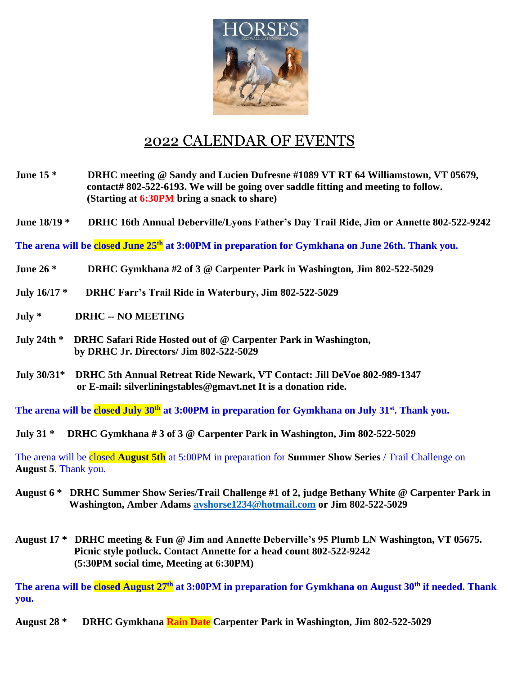

## 2022 CALENDAR OF EVENTS

- **June 15 \* DRHC meeting @ Sandy and Lucien Dufresne #1089 VT RT 64 Williamstown, VT 05679, contact# 802-522-6193. We will be going over saddle fitting and meeting to follow. (Starting at 6:30PM bring a snack to share)**
- **June 18/19 \* DRHC 16th Annual Deberville/Lyons Father's Day Trail Ride, Jim or Annette 802-522-9242**

**The arena will be closed June 25th at 3:00PM in preparation for Gymkhana on June 26th. Thank you.**

- **June 26 \* DRHC Gymkhana #2 of 3 @ Carpenter Park in Washington, Jim 802-522-5029**
- **July 16/17 \* DRHC Farr's Trail Ride in Waterbury, Jim 802-522-5029**
- **July \* DRHC -- NO MEETING**
- **July 24th \* DRHC Safari Ride Hosted out of @ Carpenter Park in Washington, by DRHC Jr. Directors/ Jim 802-522-5029**
- **July 30/31\* DRHC 5th Annual Retreat Ride Newark, VT Contact: Jill DeVoe 802-989-1347 or E-mail: silverliningstables@gmavt.net It is a donation ride.**

**The arena will be closed July 30th at 3:00PM in preparation for Gymkhana on July 31st. Thank you.**

**July 31 \* DRHC Gymkhana # 3 of 3 @ Carpenter Park in Washington, Jim 802-522-5029** 

The arena will be closed **August 5th** at 5:00PM in preparation for **Summer Show Series** / Trail Challenge on **August 5**. Thank you.

- **August 6 \* DRHC Summer Show Series/Trail Challenge #1 of 2, judge Bethany White @ Carpenter Park in Washington, Amber Adams [avshorse1234@hotmail.com](mailto:avshorse1234@hotmail.com) or Jim 802-522-5029**
- **August 17 \* DRHC meeting & Fun @ Jim and Annette Deberville's 95 Plumb LN Washington, VT 05675. Picnic style potluck. Contact Annette for a head count 802-522-9242 (5:30PM social time, Meeting at 6:30PM)**

**The arena will be closed August 27th at 3:00PM in preparation for Gymkhana on August 30th if needed. Thank you.**

**August 28 \* DRHC Gymkhana Rain Date Carpenter Park in Washington, Jim 802-522-5029**